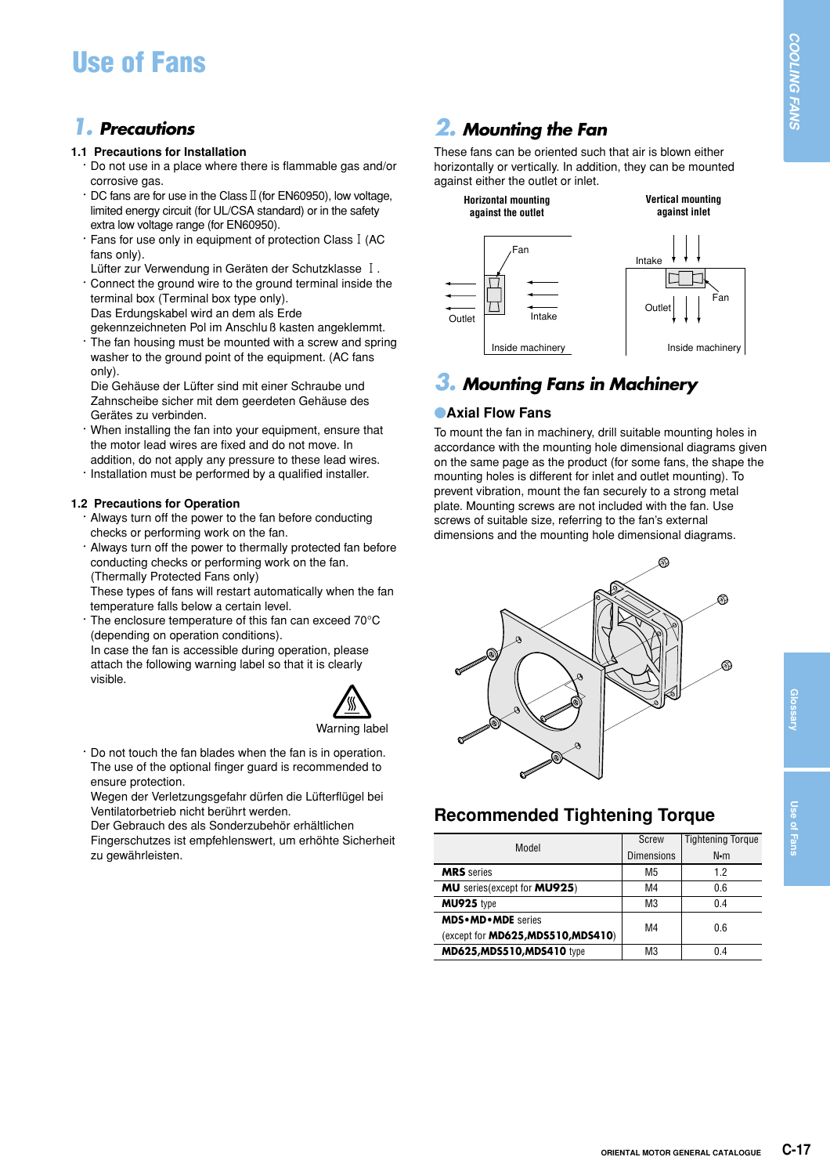# **Use of Fans**

## *1. Precautions*

#### **1.1 Precautions for Installation**

- **·** Do not use in a place where there is flammable gas and/or corrosive gas.
- **· DC fans are for use in the Class II (for EN60950), low voltage,** limited energy circuit (for UL/CSA standard) or in the safety extra low voltage range (for EN60950).
- **·** Fans for use only in equipment of protection Class1(AC fans only).
- Lüfter zur Verwendung in Geräten der Schutzklasse I. **·** Connect the ground wire to the ground terminal inside the terminal box (Terminal box type only). Das Erdungskabel wird an dem als Erde
- gekennzeichneten Pol im Anschluß kasten angeklemmt. The fan housing must be mounted with a screw and spring washer to the ground point of the equipment. (AC fans only).
- Die Gehäuse der Lüfter sind mit einer Schraube und Zahnscheibe sicher mit dem geerdeten Gehäuse des Gerätes zu verbinden.
- **·** When installing the fan into your equipment, ensure that the motor lead wires are fixed and do not move. In addition, do not apply any pressure to these lead wires.
- **·** Installation must be performed by a qualified installer.

### **1.2 Precautions for Operation**

- **·** Always turn off the power to the fan before conducting checks or performing work on the fan.
- **·** Always turn off the power to thermally protected fan before conducting checks or performing work on the fan. (Thermally Protected Fans only)

These types of fans will restart automatically when the fan temperature falls below a certain level.

**·** The enclosure temperature of this fan can exceed 70°C (depending on operation conditions).

In case the fan is accessible during operation, please attach the following warning label so that it is clearly visible.



**·** Do not touch the fan blades when the fan is in operation. The use of the optional finger guard is recommended to ensure protection.

Wegen der Verletzungsgefahr dürfen die Lüfterflügel bei Ventilatorbetrieb nicht berührt werden.

Der Gebrauch des als Sonderzubehör erhältlichen

Fingerschutzes ist empfehlenswert, um erhöhte Sicherheit zu gewährleisten.

## *2. Mounting the Fan*

These fans can be oriented such that air is blown either horizontally or vertically. In addition, they can be mounted against either the outlet or inlet.



## *3. Mounting Fans in Machinery*

### **• Axial Flow Fans**

To mount the fan in machinery, drill suitable mounting holes in accordance with the mounting hole dimensional diagrams given on the same page as the product (for some fans, the shape the mounting holes is different for inlet and outlet mounting). To prevent vibration, mount the fan securely to a strong metal plate. Mounting screws are not included with the fan. Use screws of suitable size, referring to the fan's external dimensions and the mounting hole dimensional diagrams.



## **Recommended Tightening Torque**

| Model                                      | Screw             | <b>Tightening Torque</b> |
|--------------------------------------------|-------------------|--------------------------|
|                                            | <b>Dimensions</b> | $N \cdot m$              |
| <b>MRS</b> series                          | M5                | 12                       |
| <b>MU</b> series(except for <b>MU925</b> ) | M4                | 0.6                      |
| MU925 type                                 | M3                | 04                       |
| <b>MDS</b> .MD.MDE series                  | M4                | 0.6                      |
| (except for MD625, MDS510, MDS410)         |                   |                          |
| MD625, MD5510, MDS410 type                 | MЗ                | 04                       |

**Glossary**

**Use of Fans**

Use of Fans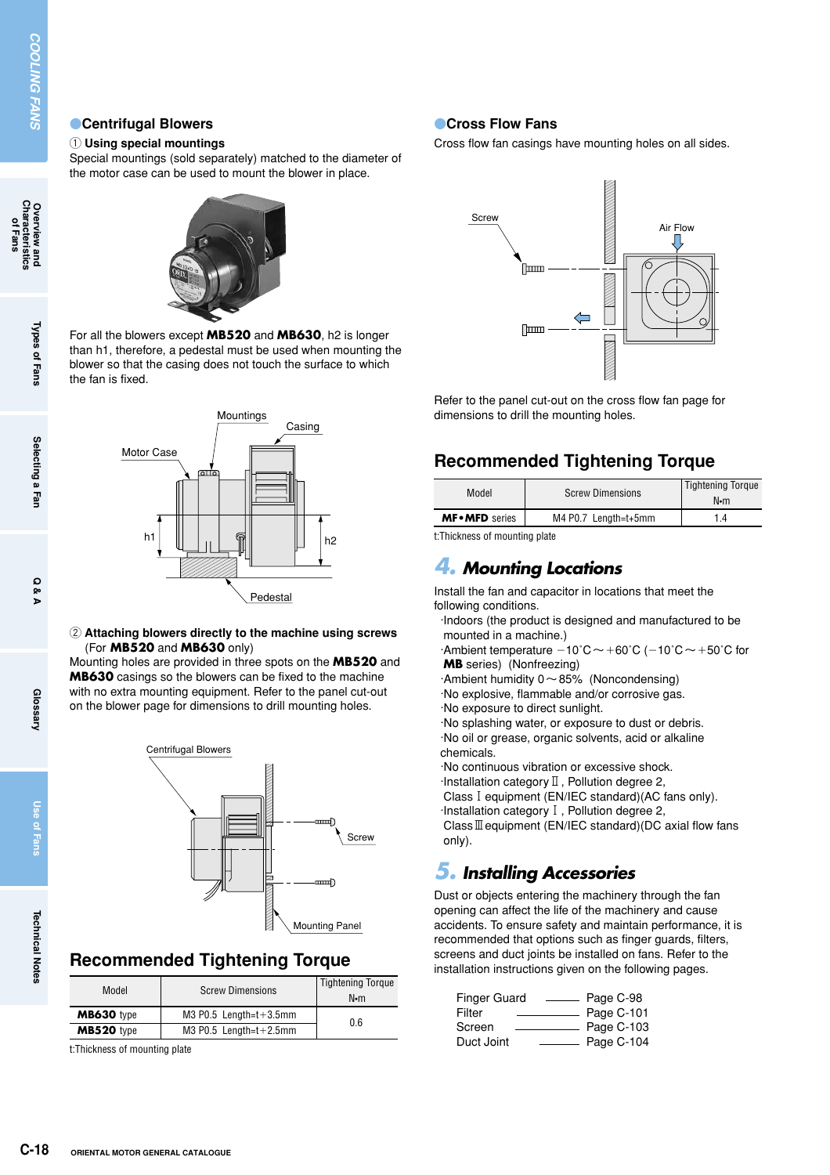## **Centrifugal Blowers**

#### 1 **Using special mountings**

Special mountings (sold separately) matched to the diameter of the motor case can be used to mount the blower in place.



For all the blowers except **MB520** and **MB630**, h2 is longer than h1, therefore, a pedestal must be used when mounting the blower so that the casing does not touch the surface to which the fan is fixed.



2 **Attaching blowers directly to the machine using screws**  (For **MB520** and **MB630** only)

Mounting holes are provided in three spots on the **MB520** and **MB630** casings so the blowers can be fixed to the machine with no extra mounting equipment. Refer to the panel cut-out on the blower page for dimensions to drill mounting holes.



## **Recommended Tightening Torque**

| Model             | <b>Screw Dimensions</b>      | <b>Tightening Torque</b><br>N•m |  |
|-------------------|------------------------------|---------------------------------|--|
| MB630 type        | $M3$ P0.5 Length= $t+3.5$ mm | 0.6                             |  |
| <b>MB520</b> type | $M3$ P0.5 Length= $t+2.5$ mm |                                 |  |

t:Thickness of mounting plate

## **Cross Flow Fans**

Cross flow fan casings have mounting holes on all sides.



Refer to the panel cut-out on the cross flow fan page for dimensions to drill the mounting holes.

## **Recommended Tightening Torque**

| Model                                                 | <b>Screw Dimensions</b> | <b>Tightening Torque</b><br>N•m |  |
|-------------------------------------------------------|-------------------------|---------------------------------|--|
| <b>MF</b> • <b>MFD</b> series<br>M4 P0.7 Length=t+5mm |                         | 14                              |  |
| <b>+Thioknong of mounting plate</b>                   |                         |                                 |  |

t:Thickness of mounting plate

## *4. Mounting Locations*

Install the fan and capacitor in locations that meet the following conditions.

·Indoors (the product is designed and manufactured to be mounted in a machine.)

 $\cdot$ Ambient temperature  $-10^{\circ}$ C  $\sim$  +60°C ( $-10^{\circ}$ C  $\sim$  +50°C for **MB** series) (Nonfreezing)

 $\cdot$ Ambient humidity 0  $\sim$  85% (Noncondensing)

·No explosive, flammable and/or corrosive gas. ·No exposure to direct sunlight.

·No splashing water, or exposure to dust or debris. ·No oil or grease, organic solvents, acid or alkaline chemicals.

·No continuous vibration or excessive shock.  $\cdot$ Installation category  $\mathbb I$ , Pollution degree 2, Class1equipment (EN/IEC standard)(AC fans only). ·Installation category1, Pollution degree 2,

Class  $I\!I\!I$  equipment (EN/IEC standard)(DC axial flow fans only).

## *5. Installing Accessories*

Dust or objects entering the machinery through the fan opening can affect the life of the machinery and cause accidents. To ensure safety and maintain performance, it is recommended that options such as finger guards, filters, screens and duct joints be installed on fans. Refer to the installation instructions given on the following pages.

| Finger Guard | Page C-98  |
|--------------|------------|
| Filter       | Page C-101 |
| Screen       | Page C-103 |
| Duct Joint   | Page C-104 |

**Overview and<br>Characteristics**<br>of Fans

**Use of Fans**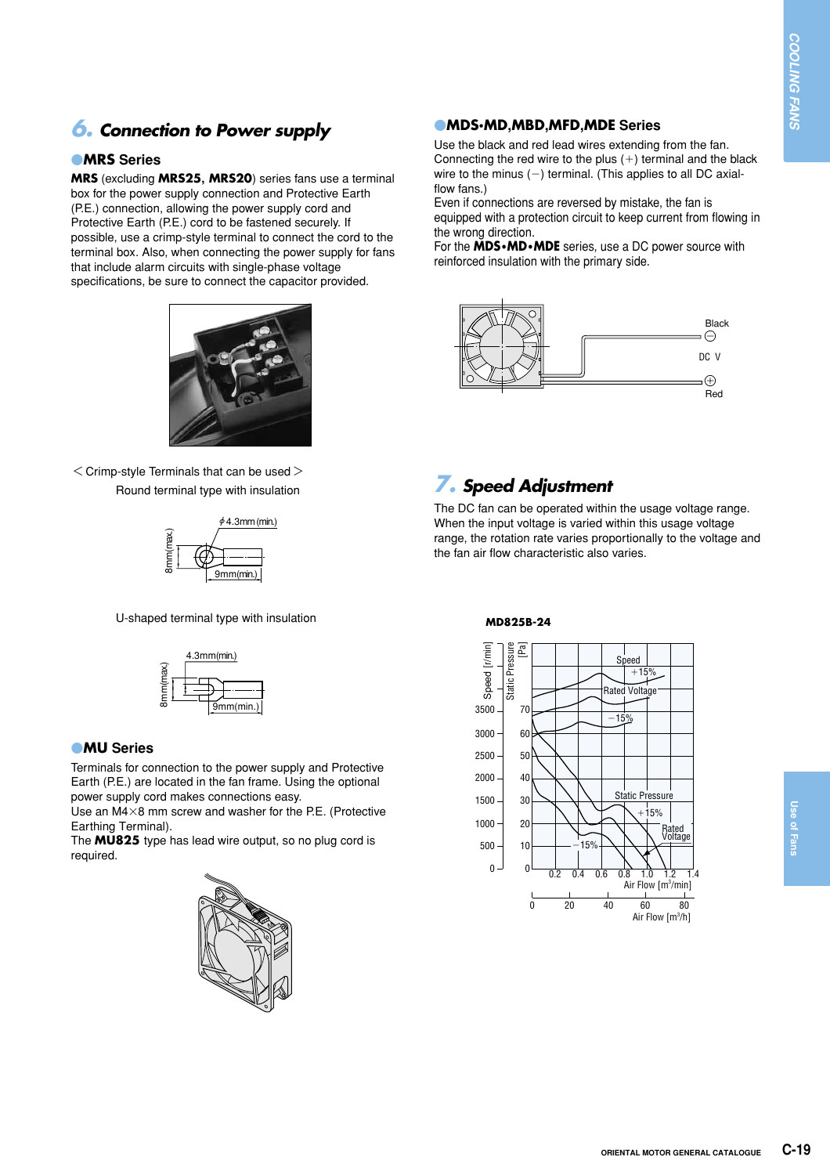## *6. Connection to Power supply*

### **MRS** Series

**MRS** (excluding **MRS25, MRS20**) series fans use a terminal box for the power supply connection and Protective Earth (P.E.) connection, allowing the power supply cord and Protective Earth (P.E.) cord to be fastened securely. If possible, use a crimp-style terminal to connect the cord to the terminal box. Also, when connecting the power supply for fans that include alarm circuits with single-phase voltage specifications, be sure to connect the capacitor provided.



 $<$  Crimp-style Terminals that can be used  $>$ Round terminal type with insulation



U-shaped terminal type with insulation



### **MU** Series

Terminals for connection to the power supply and Protective Earth (P.E.) are located in the fan frame. Using the optional power supply cord makes connections easy.

Use an  $M4\times8$  mm screw and washer for the P.E. (Protective Earthing Terminal).

The **MU825** type has lead wire output, so no plug cord is required.



## -**MDS•MD,MBD,MFD,MDE Series**

Use the black and red lead wires extending from the fan. Connecting the red wire to the plus  $(+)$  terminal and the black wire to the minus  $(-)$  terminal. (This applies to all DC axialflow fans.)

Even if connections are reversed by mistake, the fan is equipped with a protection circuit to keep current from flowing in the wrong direction.

For the **MDS•MD•MDE** series, use a DC power source with reinforced insulation with the primary side.



## *7. Speed Adjustment*

The DC fan can be operated within the usage voltage range. When the input voltage is varied within this usage voltage range, the rotation rate varies proportionally to the voltage and the fan air flow characteristic also varies.

### **MD825B-24**